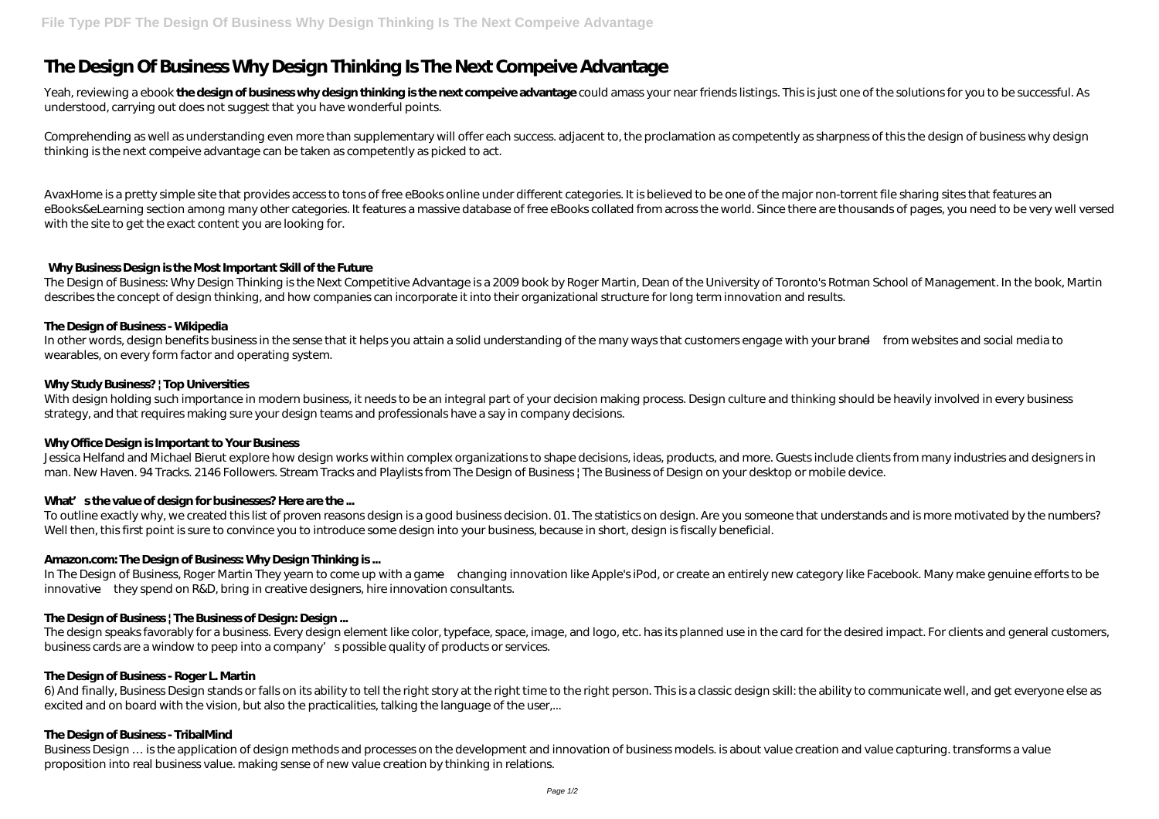# **The Design Of Business Why Design Thinking Is The Next Compeive Advantage**

Yeah, reviewing a ebook **the design of business why design thinking is the next compeive advantage** could amass your near friends listings. This is just one of the solutions for you to be successful. As understood, carrying out does not suggest that you have wonderful points.

Comprehending as well as understanding even more than supplementary will offer each success. adjacent to, the proclamation as competently as sharpness of this the design of business why design thinking is the next compeive advantage can be taken as competently as picked to act.

The Design of Business: Why Design Thinking is the Next Competitive Advantage is a 2009 book by Roger Martin, Dean of the University of Toronto's Rotman School of Management. In the book, Martin describes the concept of design thinking, and how companies can incorporate it into their organizational structure for long term innovation and results.

In other words, design benefits business in the sense that it helps you attain a solid understanding of the many ways that customers engage with your brand—from websites and social media to wearables, on every form factor and operating system.

AvaxHome is a pretty simple site that provides access to tons of free eBooks online under different categories. It is believed to be one of the major non-torrent file sharing sites that features an eBooks&eLearning section among many other categories. It features a massive database of free eBooks collated from across the world. Since there are thousands of pages, you need to be very well versed with the site to get the exact content you are looking for.

With design holding such importance in modern business, it needs to be an integral part of your decision making process. Design culture and thinking should be heavily involved in every business strategy, and that requires making sure your design teams and professionals have a say in company decisions.

Jessica Helfand and Michael Bierut explore how design works within complex organizations to shape decisions, ideas, products, and more. Guests include clients from many industries and designers in man. New Haven. 94 Tracks. 2146 Followers. Stream Tracks and Playlists from The Design of Business | The Business of Design on your desktop or mobile device.

# What' sthe value of design for businesses? Here are the ...

To outline exactly why, we created this list of proven reasons design is a good business decision. O1. The statistics on design. Are you someone that understands and is more motivated by the numbers? Well then, this first point is sure to convince you to introduce some design into your business, because in short, design is fiscally beneficial.

# **Why Business Design is the Most Important Skill of the Future**

# **The Design of Business - Wikipedia**

6) And finally, Business Design stands or falls on its ability to tell the right story at the right time to the right person. This is a classic design skill: the ability to communicate well, and get everyone else as excited and on board with the vision, but also the practicalities, talking the language of the user,...

# **Why Study Business? | Top Universities**

Business Design ... is the application of design methods and processes on the development and innovation of business models. is about value creation and value capturing. transforms a value proposition into real business value. making sense of new value creation by thinking in relations.

### **Why Office Design is Important to Your Business**

# **Amazon.com: The Design of Business: Why Design Thinking is ...**

In The Design of Business, Roger Martin They yearn to come up with a game—changing innovation like Apple's iPod, or create an entirely new category like Facebook. Many make genuine efforts to be innovative—they spend on R&D, bring in creative designers, hire innovation consultants.

# **The Design of Business | The Business of Design: Design ...**

The design speaks favorably for a business. Every design element like color, typeface, space, image, and logo, etc. has its planned use in the card for the desired impact. For clients and general customers, business cards are a window to peep into a company's possible quality of products or services.

### **The Design of Business - Roger L. Martin**

### **The Design of Business - TribalMind**